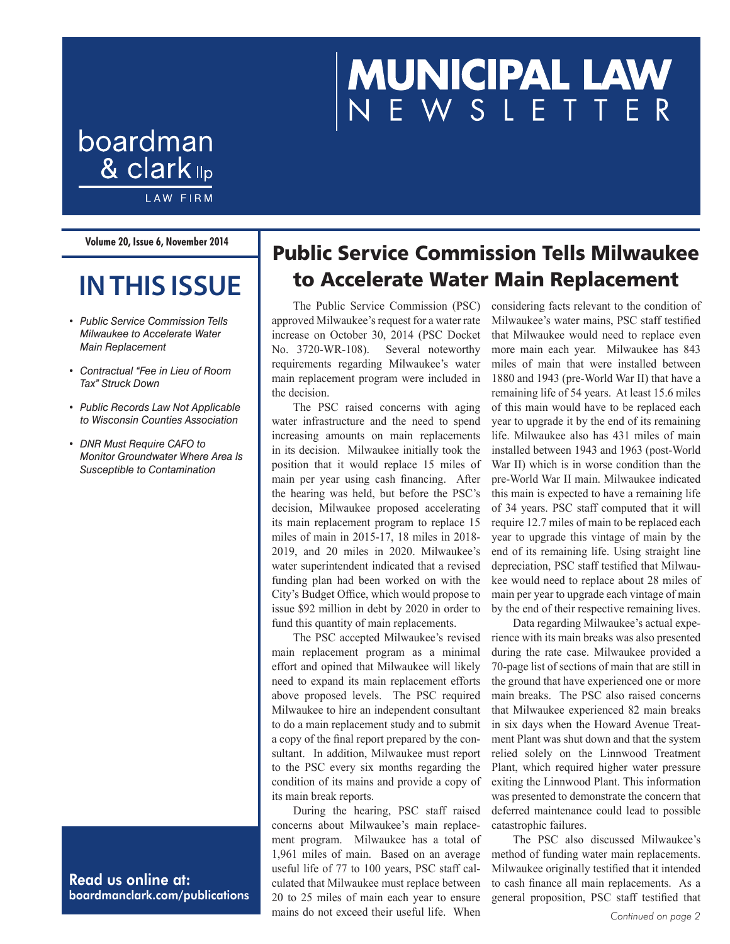# MUNICIPAL LAW<br>NEWSLETTER

# boardman & clark <sub>llp</sub> **LAW FIRM**

**Volume 20, Issue 6, November 2014**

# **IN THIS ISSUE**

- *• Public Service Commission Tells Milwaukee to Accelerate Water Main Replacement*
- *• Contractual "Fee in Lieu of Room Tax" Struck Down*
- *• Public Records Law Not Applicable to Wisconsin Counties Association*
- *• DNR Must Require CAFO to Monitor Groundwater Where Area Is Susceptible to Contamination*

Read us online at: boardmanclark.com/publications

## Public Service Commission Tells Milwaukee to Accelerate Water Main Replacement

The Public Service Commission (PSC) approved Milwaukee's request for a water rate increase on October 30, 2014 (PSC Docket No. 3720-WR-108). Several noteworthy requirements regarding Milwaukee's water main replacement program were included in the decision.

The PSC raised concerns with aging water infrastructure and the need to spend increasing amounts on main replacements in its decision. Milwaukee initially took the position that it would replace 15 miles of main per year using cash financing. After the hearing was held, but before the PSC's decision, Milwaukee proposed accelerating its main replacement program to replace 15 miles of main in 2015-17, 18 miles in 2018- 2019, and 20 miles in 2020. Milwaukee's water superintendent indicated that a revised funding plan had been worked on with the City's Budget Office, which would propose to issue \$92 million in debt by 2020 in order to fund this quantity of main replacements.

The PSC accepted Milwaukee's revised main replacement program as a minimal effort and opined that Milwaukee will likely need to expand its main replacement efforts above proposed levels. The PSC required Milwaukee to hire an independent consultant to do a main replacement study and to submit a copy of the final report prepared by the consultant. In addition, Milwaukee must report to the PSC every six months regarding the condition of its mains and provide a copy of its main break reports.

During the hearing, PSC staff raised concerns about Milwaukee's main replacement program. Milwaukee has a total of 1,961 miles of main. Based on an average useful life of 77 to 100 years, PSC staff calculated that Milwaukee must replace between 20 to 25 miles of main each year to ensure mains do not exceed their useful life. When *Continued on page 2* 

considering facts relevant to the condition of Milwaukee's water mains, PSC staff testified that Milwaukee would need to replace even more main each year. Milwaukee has 843 miles of main that were installed between 1880 and 1943 (pre-World War II) that have a remaining life of 54 years. At least 15.6 miles of this main would have to be replaced each year to upgrade it by the end of its remaining life. Milwaukee also has 431 miles of main installed between 1943 and 1963 (post-World War II) which is in worse condition than the pre-World War II main. Milwaukee indicated this main is expected to have a remaining life of 34 years. PSC staff computed that it will require 12.7 miles of main to be replaced each year to upgrade this vintage of main by the end of its remaining life. Using straight line depreciation, PSC staff testified that Milwaukee would need to replace about 28 miles of main per year to upgrade each vintage of main by the end of their respective remaining lives.

Data regarding Milwaukee's actual experience with its main breaks was also presented during the rate case. Milwaukee provided a 70-page list of sections of main that are still in the ground that have experienced one or more main breaks. The PSC also raised concerns that Milwaukee experienced 82 main breaks in six days when the Howard Avenue Treatment Plant was shut down and that the system relied solely on the Linnwood Treatment Plant, which required higher water pressure exiting the Linnwood Plant. This information was presented to demonstrate the concern that deferred maintenance could lead to possible catastrophic failures.

The PSC also discussed Milwaukee's method of funding water main replacements. Milwaukee originally testified that it intended to cash finance all main replacements. As a general proposition, PSC staff testified that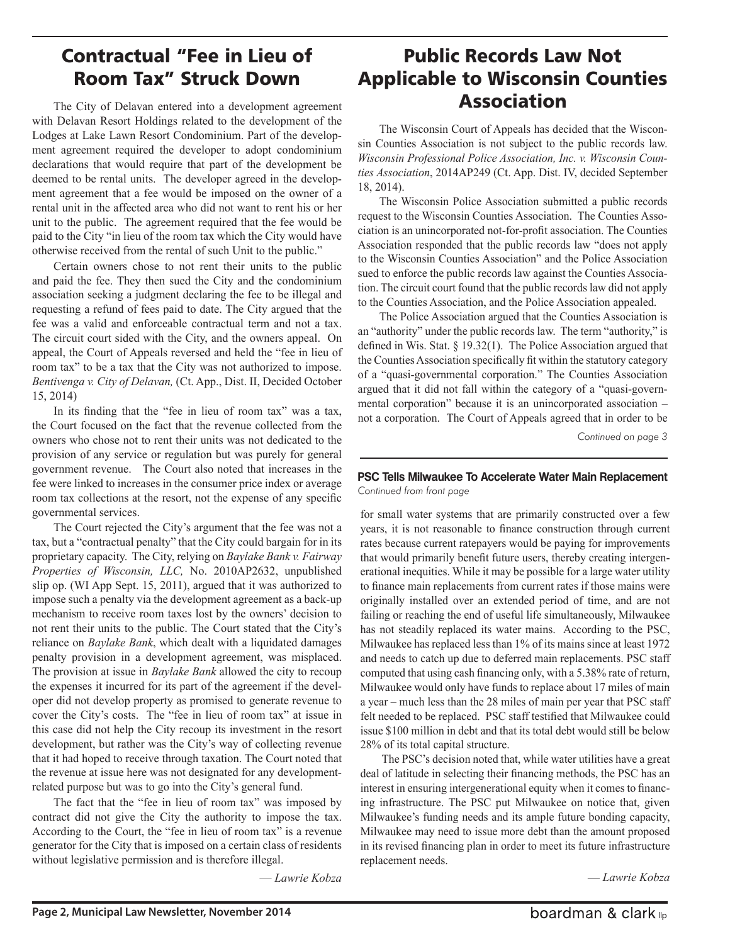## Contractual "Fee in Lieu of Room Tax" Struck Down

The City of Delavan entered into a development agreement with Delavan Resort Holdings related to the development of the Lodges at Lake Lawn Resort Condominium. Part of the development agreement required the developer to adopt condominium declarations that would require that part of the development be deemed to be rental units. The developer agreed in the development agreement that a fee would be imposed on the owner of a rental unit in the affected area who did not want to rent his or her unit to the public. The agreement required that the fee would be paid to the City "in lieu of the room tax which the City would have otherwise received from the rental of such Unit to the public."

Certain owners chose to not rent their units to the public and paid the fee. They then sued the City and the condominium association seeking a judgment declaring the fee to be illegal and requesting a refund of fees paid to date. The City argued that the fee was a valid and enforceable contractual term and not a tax. The circuit court sided with the City, and the owners appeal. On appeal, the Court of Appeals reversed and held the "fee in lieu of room tax" to be a tax that the City was not authorized to impose. *Bentivenga v. City of Delavan,* (Ct. App., Dist. II, Decided October 15, 2014)

In its finding that the "fee in lieu of room tax" was a tax, the Court focused on the fact that the revenue collected from the owners who chose not to rent their units was not dedicated to the provision of any service or regulation but was purely for general government revenue. The Court also noted that increases in the fee were linked to increases in the consumer price index or average room tax collections at the resort, not the expense of any specific governmental services.

The Court rejected the City's argument that the fee was not a tax, but a "contractual penalty" that the City could bargain for in its proprietary capacity. The City, relying on *Baylake Bank v. Fairway Properties of Wisconsin, LLC,* No. 2010AP2632, unpublished slip op. (WI App Sept. 15, 2011), argued that it was authorized to impose such a penalty via the development agreement as a back-up mechanism to receive room taxes lost by the owners' decision to not rent their units to the public. The Court stated that the City's reliance on *Baylake Bank*, which dealt with a liquidated damages penalty provision in a development agreement, was misplaced. The provision at issue in *Baylake Bank* allowed the city to recoup the expenses it incurred for its part of the agreement if the developer did not develop property as promised to generate revenue to cover the City's costs. The "fee in lieu of room tax" at issue in this case did not help the City recoup its investment in the resort development, but rather was the City's way of collecting revenue that it had hoped to receive through taxation. The Court noted that the revenue at issue here was not designated for any developmentrelated purpose but was to go into the City's general fund.

The fact that the "fee in lieu of room tax" was imposed by contract did not give the City the authority to impose the tax. According to the Court, the "fee in lieu of room tax" is a revenue generator for the City that is imposed on a certain class of residents without legislative permission and is therefore illegal.

— *Lawrie Kobza*

## Public Records Law Not Applicable to Wisconsin Counties Association

The Wisconsin Court of Appeals has decided that the Wisconsin Counties Association is not subject to the public records law. *Wisconsin Professional Police Association, Inc. v. Wisconsin Counties Association*, 2014AP249 (Ct. App. Dist. IV, decided September 18, 2014).

The Wisconsin Police Association submitted a public records request to the Wisconsin Counties Association. The Counties Association is an unincorporated not-for-profit association. The Counties Association responded that the public records law "does not apply to the Wisconsin Counties Association" and the Police Association sued to enforce the public records law against the Counties Association. The circuit court found that the public records law did not apply to the Counties Association, and the Police Association appealed.

The Police Association argued that the Counties Association is an "authority" under the public records law. The term "authority," is defined in Wis. Stat. § 19.32(1). The Police Association argued that the Counties Association specifically fit within the statutory category of a "quasi-governmental corporation." The Counties Association argued that it did not fall within the category of a "quasi-governmental corporation" because it is an unincorporated association – not a corporation. The Court of Appeals agreed that in order to be

*Continued on page 3*

#### **PSC Tells Milwaukee To Accelerate Water Main Replacement** *Continued from front page*

for small water systems that are primarily constructed over a few years, it is not reasonable to finance construction through current rates because current ratepayers would be paying for improvements that would primarily benefit future users, thereby creating intergenerational inequities. While it may be possible for a large water utility to finance main replacements from current rates if those mains were originally installed over an extended period of time, and are not failing or reaching the end of useful life simultaneously, Milwaukee has not steadily replaced its water mains. According to the PSC, Milwaukee has replaced less than 1% of its mains since at least 1972 and needs to catch up due to deferred main replacements. PSC staff computed that using cash financing only, with a 5.38% rate of return, Milwaukee would only have funds to replace about 17 miles of main a year – much less than the 28 miles of main per year that PSC staff felt needed to be replaced. PSC staff testified that Milwaukee could issue \$100 million in debt and that its total debt would still be below 28% of its total capital structure.

The PSC's decision noted that, while water utilities have a great deal of latitude in selecting their financing methods, the PSC has an interest in ensuring intergenerational equity when it comes to financing infrastructure. The PSC put Milwaukee on notice that, given Milwaukee's funding needs and its ample future bonding capacity, Milwaukee may need to issue more debt than the amount proposed in its revised financing plan in order to meet its future infrastructure replacement needs.

— *Lawrie Kobza*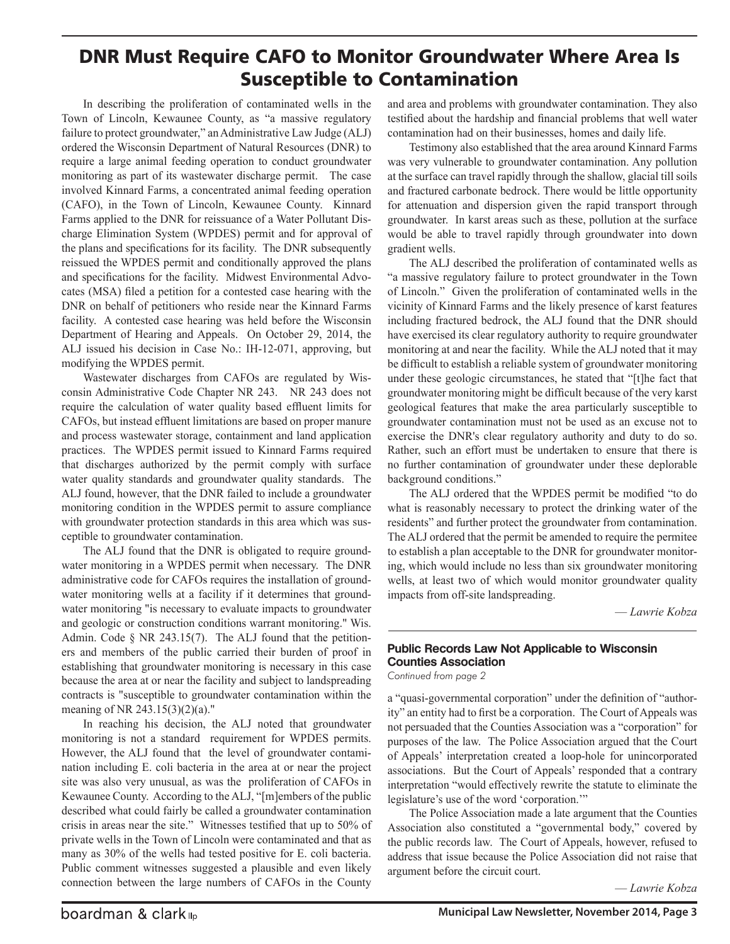### DNR Must Require CAFO to Monitor Groundwater Where Area Is Susceptible to Contamination

In describing the proliferation of contaminated wells in the Town of Lincoln, Kewaunee County, as "a massive regulatory failure to protect groundwater," an Administrative Law Judge (ALJ) ordered the Wisconsin Department of Natural Resources (DNR) to require a large animal feeding operation to conduct groundwater monitoring as part of its wastewater discharge permit. The case involved Kinnard Farms, a concentrated animal feeding operation (CAFO), in the Town of Lincoln, Kewaunee County. Kinnard Farms applied to the DNR for reissuance of a Water Pollutant Discharge Elimination System (WPDES) permit and for approval of the plans and specifications for its facility. The DNR subsequently reissued the WPDES permit and conditionally approved the plans and specifications for the facility. Midwest Environmental Advocates (MSA) filed a petition for a contested case hearing with the DNR on behalf of petitioners who reside near the Kinnard Farms facility. A contested case hearing was held before the Wisconsin Department of Hearing and Appeals. On October 29, 2014, the ALJ issued his decision in Case No.: IH-12-071, approving, but modifying the WPDES permit.

Wastewater discharges from CAFOs are regulated by Wisconsin Administrative Code Chapter NR 243. NR 243 does not require the calculation of water quality based effluent limits for CAFOs, but instead effluent limitations are based on proper manure and process wastewater storage, containment and land application practices. The WPDES permit issued to Kinnard Farms required that discharges authorized by the permit comply with surface water quality standards and groundwater quality standards. The ALJ found, however, that the DNR failed to include a groundwater monitoring condition in the WPDES permit to assure compliance with groundwater protection standards in this area which was susceptible to groundwater contamination.

The ALJ found that the DNR is obligated to require groundwater monitoring in a WPDES permit when necessary. The DNR administrative code for CAFOs requires the installation of groundwater monitoring wells at a facility if it determines that groundwater monitoring "is necessary to evaluate impacts to groundwater and geologic or construction conditions warrant monitoring." Wis. Admin. Code § NR 243.15(7). The ALJ found that the petitioners and members of the public carried their burden of proof in establishing that groundwater monitoring is necessary in this case because the area at or near the facility and subject to landspreading contracts is "susceptible to groundwater contamination within the meaning of NR 243.15(3)(2)(a)."

In reaching his decision, the ALJ noted that groundwater monitoring is not a standard requirement for WPDES permits. However, the ALJ found that the level of groundwater contamination including E. coli bacteria in the area at or near the project site was also very unusual, as was the proliferation of CAFOs in Kewaunee County. According to the ALJ, "[m]embers of the public described what could fairly be called a groundwater contamination crisis in areas near the site." Witnesses testified that up to 50% of private wells in the Town of Lincoln were contaminated and that as many as 30% of the wells had tested positive for E. coli bacteria. Public comment witnesses suggested a plausible and even likely connection between the large numbers of CAFOs in the County

and area and problems with groundwater contamination. They also testified about the hardship and financial problems that well water contamination had on their businesses, homes and daily life.

Testimony also established that the area around Kinnard Farms was very vulnerable to groundwater contamination. Any pollution at the surface can travel rapidly through the shallow, glacial till soils and fractured carbonate bedrock. There would be little opportunity for attenuation and dispersion given the rapid transport through groundwater. In karst areas such as these, pollution at the surface would be able to travel rapidly through groundwater into down gradient wells.

The ALJ described the proliferation of contaminated wells as "a massive regulatory failure to protect groundwater in the Town of Lincoln." Given the proliferation of contaminated wells in the vicinity of Kinnard Farms and the likely presence of karst features including fractured bedrock, the ALJ found that the DNR should have exercised its clear regulatory authority to require groundwater monitoring at and near the facility. While the ALJ noted that it may be difficult to establish a reliable system of groundwater monitoring under these geologic circumstances, he stated that "[t]he fact that groundwater monitoring might be difficult because of the very karst geological features that make the area particularly susceptible to groundwater contamination must not be used as an excuse not to exercise the DNR's clear regulatory authority and duty to do so. Rather, such an effort must be undertaken to ensure that there is no further contamination of groundwater under these deplorable background conditions."

The ALJ ordered that the WPDES permit be modified "to do what is reasonably necessary to protect the drinking water of the residents" and further protect the groundwater from contamination. The ALJ ordered that the permit be amended to require the permitee to establish a plan acceptable to the DNR for groundwater monitoring, which would include no less than six groundwater monitoring wells, at least two of which would monitor groundwater quality impacts from off-site landspreading.

— *Lawrie Kobza*

#### **Public Records Law Not Applicable to Wisconsin Counties Association**

*Continued from page 2*

a "quasi-governmental corporation" under the definition of "authority" an entity had to first be a corporation. The Court of Appeals was not persuaded that the Counties Association was a "corporation" for purposes of the law. The Police Association argued that the Court of Appeals' interpretation created a loop-hole for unincorporated associations. But the Court of Appeals' responded that a contrary interpretation "would effectively rewrite the statute to eliminate the legislature's use of the word 'corporation.'"

The Police Association made a late argument that the Counties Association also constituted a "governmental body," covered by the public records law. The Court of Appeals, however, refused to address that issue because the Police Association did not raise that argument before the circuit court.

— *Lawrie Kobza*